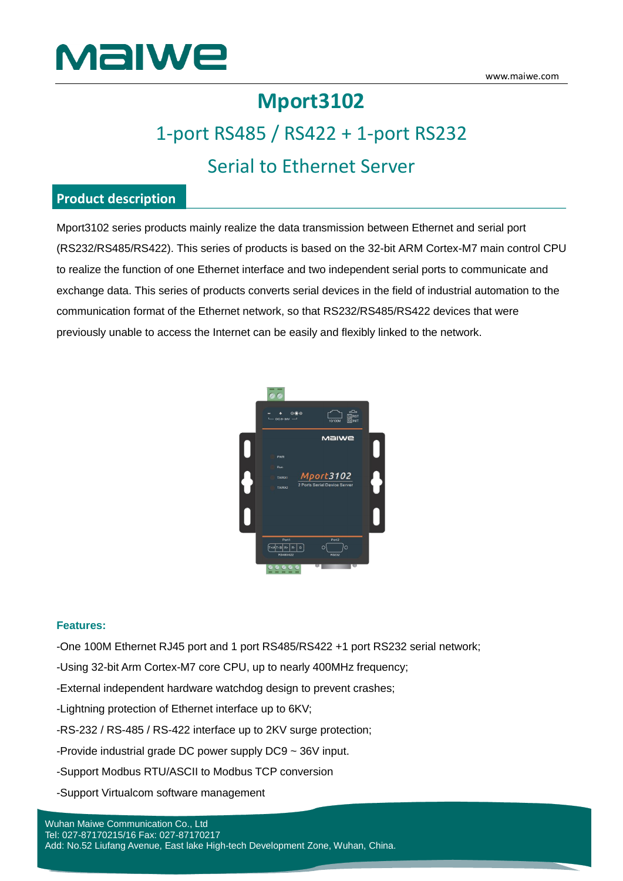

# **Mport3102**

# 1-port RS485 / RS422 + 1-port RS232 Serial to Ethernet Server

#### **Product description**

Mport3102 series products mainly realize the data transmission between Ethernet and serial port (RS232/RS485/RS422). This series of products is based on the 32-bit ARM Cortex-M7 main control CPU to realize the function of one Ethernet interface and two independent serial ports to communicate and exchange data. This series of products converts serial devices in the field of industrial automation to the communication format of the Ethernet network, so that RS232/RS485/RS422 devices that were previously unable to access the Internet can be easily and flexibly linked to the network.



#### **Features:**

-One 100M Ethernet RJ45 port and 1 port RS485/RS422 +1 port RS232 serial network;

- -Using 32-bit Arm Cortex-M7 core CPU, up to nearly 400MHz frequency;
- -External independent hardware watchdog design to prevent crashes;
- -Lightning protection of Ethernet interface up to 6KV;
- -RS-232 / RS-485 / RS-422 interface up to 2KV surge protection;
- -Provide industrial grade DC power supply DC9 ~ 36V input.
- -Support Modbus RTU/ASCII to Modbus TCP conversion
- -Support Virtualcom software management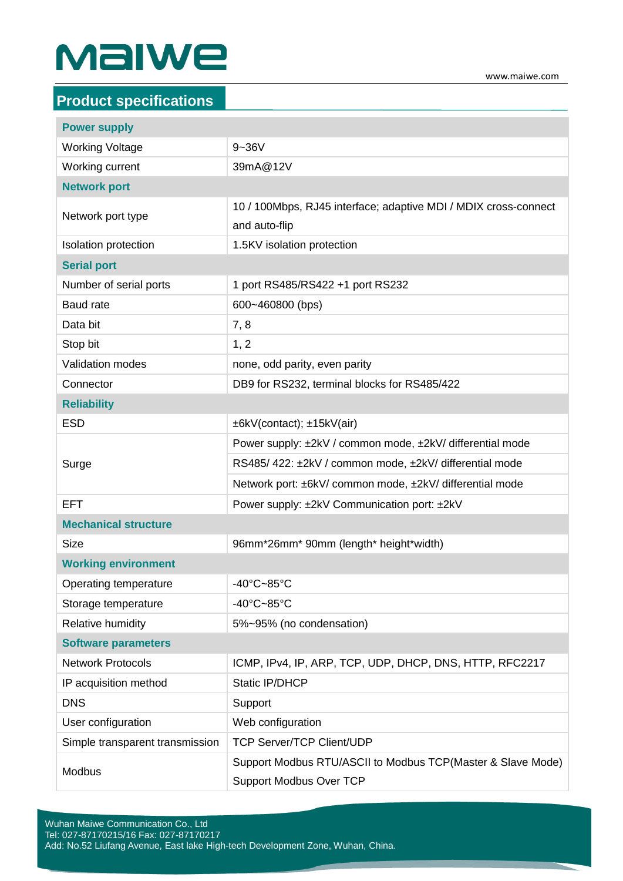# Malwe

| <b>Product specifications</b>   |                                                                                               |  |
|---------------------------------|-----------------------------------------------------------------------------------------------|--|
| <b>Power supply</b>             |                                                                                               |  |
| <b>Working Voltage</b>          | $9 - 36V$                                                                                     |  |
| Working current                 | 39mA@12V                                                                                      |  |
| <b>Network port</b>             |                                                                                               |  |
| Network port type               | 10 / 100Mbps, RJ45 interface; adaptive MDI / MDIX cross-connect                               |  |
|                                 | and auto-flip                                                                                 |  |
| Isolation protection            | 1.5KV isolation protection                                                                    |  |
| <b>Serial port</b>              |                                                                                               |  |
| Number of serial ports          | 1 port RS485/RS422 +1 port RS232                                                              |  |
| <b>Baud rate</b>                | 600~460800 (bps)                                                                              |  |
| Data bit                        | 7,8                                                                                           |  |
| Stop bit                        | 1, 2                                                                                          |  |
| <b>Validation modes</b>         | none, odd parity, even parity                                                                 |  |
| Connector                       | DB9 for RS232, terminal blocks for RS485/422                                                  |  |
| <b>Reliability</b>              |                                                                                               |  |
| <b>ESD</b>                      | ±6kV(contact); ±15kV(air)                                                                     |  |
| Surge                           | Power supply: ±2kV / common mode, ±2kV/ differential mode                                     |  |
|                                 | RS485/422: ±2kV / common mode, ±2kV/ differential mode                                        |  |
|                                 | Network port: ±6kV/ common mode, ±2kV/ differential mode                                      |  |
| <b>EFT</b>                      | Power supply: ±2kV Communication port: ±2kV                                                   |  |
| <b>Mechanical structure</b>     |                                                                                               |  |
| <b>Size</b>                     | 96mm*26mm* 90mm (length* height*width)                                                        |  |
| <b>Working environment</b>      |                                                                                               |  |
| Operating temperature           | $-40^{\circ}$ C $-85^{\circ}$ C                                                               |  |
| Storage temperature             | -40°C~85°C                                                                                    |  |
| <b>Relative humidity</b>        | 5%~95% (no condensation)                                                                      |  |
| <b>Software parameters</b>      |                                                                                               |  |
| <b>Network Protocols</b>        | ICMP, IPv4, IP, ARP, TCP, UDP, DHCP, DNS, HTTP, RFC2217                                       |  |
| IP acquisition method           | Static IP/DHCP                                                                                |  |
| <b>DNS</b>                      | Support                                                                                       |  |
| User configuration              | Web configuration                                                                             |  |
| Simple transparent transmission | <b>TCP Server/TCP Client/UDP</b>                                                              |  |
| Modbus                          | Support Modbus RTU/ASCII to Modbus TCP(Master & Slave Mode)<br><b>Support Modbus Over TCP</b> |  |